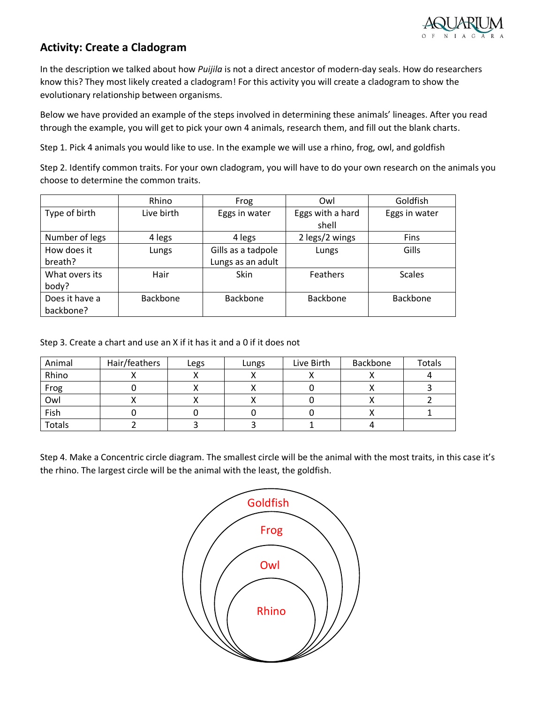

## **Activity: Create a Cladogram**

In the description we talked about how *Puijila* is not a direct ancestor of modern-day seals. How do researchers know this? They most likely created a cladogram! For this activity you will create a cladogram to show the evolutionary relationship between organisms.

Below we have provided an example of the steps involved in determining these animals' lineages. After you read through the example, you will get to pick your own 4 animals, research them, and fill out the blank charts.

Step 1. Pick 4 animals you would like to use. In the example we will use a rhino, frog, owl, and goldfish

Step 2. Identify common traits. For your own cladogram, you will have to do your own research on the animals you choose to determine the common traits.

|                | Rhino      | Frog               | Owl              | Goldfish      |  |
|----------------|------------|--------------------|------------------|---------------|--|
| Type of birth  | Live birth | Eggs in water      | Eggs with a hard | Eggs in water |  |
|                |            |                    | shell            |               |  |
| Number of legs | 4 legs     | 4 legs             | 2 legs/2 wings   | Fins          |  |
| How does it    | Lungs      | Gills as a tadpole | Lungs            | Gills         |  |
| breath?        |            | Lungs as an adult  |                  |               |  |
| What overs its | Hair       | Skin               | <b>Feathers</b>  | <b>Scales</b> |  |
| body?          |            |                    |                  |               |  |
| Does it have a | Backbone   | Backbone           | Backbone         | Backbone      |  |
| backbone?      |            |                    |                  |               |  |

Step 3. Create a chart and use an X if it has it and a 0 if it does not

| Animal        | Hair/feathers | Legs | Lungs | Live Birth | Backbone | <b>Totals</b> |
|---------------|---------------|------|-------|------------|----------|---------------|
| Rhino         |               |      |       |            |          |               |
| Frog          |               |      |       |            |          |               |
| Owl           |               |      |       |            |          |               |
| Fish          |               |      |       |            |          |               |
| <b>Totals</b> |               |      |       |            |          |               |

Step 4. Make a Concentric circle diagram. The smallest circle will be the animal with the most traits, in this case it's the rhino. The largest circle will be the animal with the least, the goldfish.

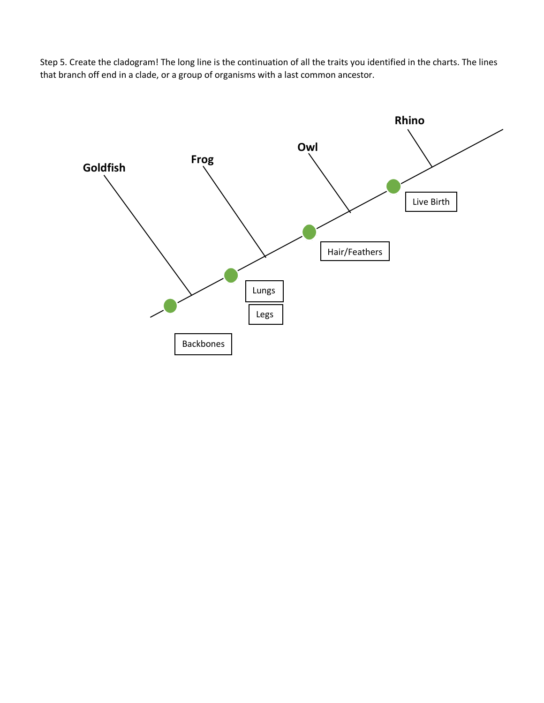Step 5. Create the cladogram! The long line is the continuation of all the traits you identified in the charts. The lines that branch off end in a clade, or a group of organisms with a last common ancestor.

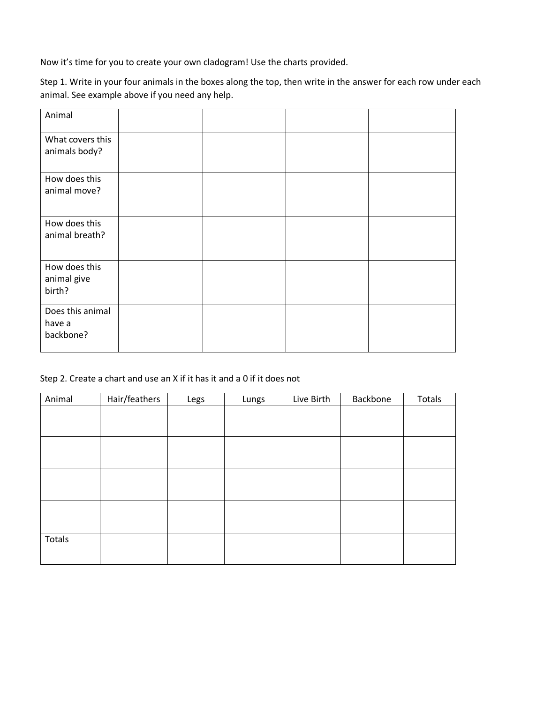Now it's time for you to create your own cladogram! Use the charts provided.

Step 1. Write in your four animals in the boxes along the top, then write in the answer for each row under each animal. See example above if you need any help.

| Animal                          |  |  |
|---------------------------------|--|--|
| What covers this                |  |  |
| animals body?                   |  |  |
| How does this                   |  |  |
| animal move?                    |  |  |
|                                 |  |  |
| How does this<br>animal breath? |  |  |
|                                 |  |  |
|                                 |  |  |
| How does this<br>animal give    |  |  |
| birth?                          |  |  |
|                                 |  |  |
| Does this animal                |  |  |
| have a                          |  |  |
| backbone?                       |  |  |

## Step 2. Create a chart and use an X if it has it and a 0 if it does not

| Animal | Hair/feathers | Legs | Lungs | Live Birth | Backbone | Totals |
|--------|---------------|------|-------|------------|----------|--------|
|        |               |      |       |            |          |        |
|        |               |      |       |            |          |        |
|        |               |      |       |            |          |        |
|        |               |      |       |            |          |        |
|        |               |      |       |            |          |        |
|        |               |      |       |            |          |        |
|        |               |      |       |            |          |        |
|        |               |      |       |            |          |        |
| Totals |               |      |       |            |          |        |
|        |               |      |       |            |          |        |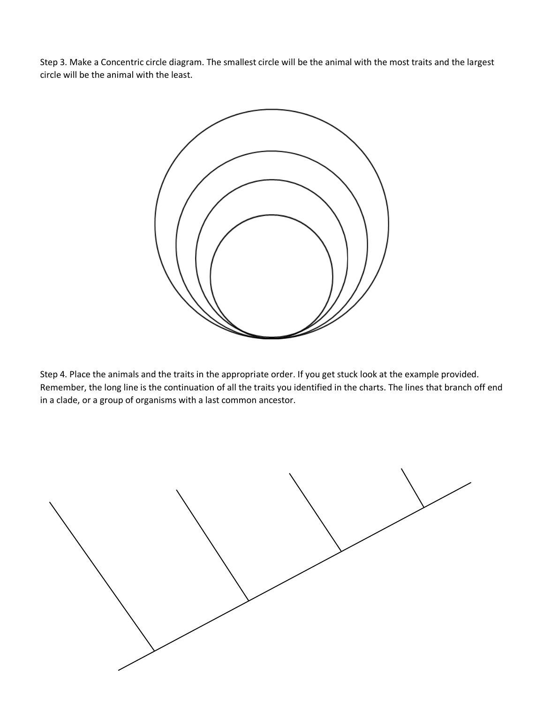Step 3. Make a Concentric circle diagram. The smallest circle will be the animal with the most traits and the largest circle will be the animal with the least.



Step 4. Place the animals and the traits in the appropriate order. If you get stuck look at the example provided. Remember, the long line is the continuation of all the traits you identified in the charts. The lines that branch off end in a clade, or a group of organisms with a last common ancestor.